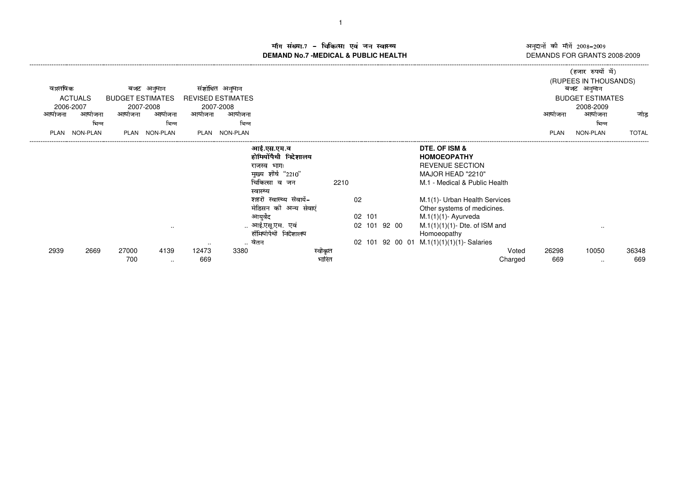म संख्या.7 – चिकित्सा एवं जन स्वास्थ्य<br>IAND No.7 -MEDICAL & DURLIC HEALTH **DEMAND No.7 -MEDICAL & PUBLIC HEALTH**

अनुदानों की माँगें 2008–2009<br>DEMANDS FOR GRANTS 2008-2009

|             |                     |                         |                      |        |                          |                         |         |        |              |                                    |                | (हजार रुपयों में)                   |              |
|-------------|---------------------|-------------------------|----------------------|--------|--------------------------|-------------------------|---------|--------|--------------|------------------------------------|----------------|-------------------------------------|--------------|
| वास्तविक    |                     |                         | बजट अनुमान           |        | संशोधित अनुमान           |                         |         |        |              |                                    |                | (RUPEES IN THOUSANDS)<br>बजट अनुमान |              |
|             | <b>ACTUALS</b>      | <b>BUDGET ESTIMATES</b> |                      |        | <b>REVISED ESTIMATES</b> |                         |         |        |              |                                    |                | <b>BUDGET ESTIMATES</b>             |              |
| आयोजना      | 2006-2007<br>आयोजना | आयोजना                  | 2007-2008<br>आयोजना  | आयोजना | 2007-2008<br>आयोजना      |                         |         |        |              |                                    | आयोजना         | 2008-2009<br>आयोजना                 | जोड          |
|             | भिन्न               |                         | भिन्न                |        | भिन्न                    |                         |         |        |              |                                    |                | भिन्न                               |              |
| <b>PLAN</b> | <b>NON-PLAN</b>     | PLAN                    | <b>NON-PLAN</b>      | PLAN   | NON-PLAN                 |                         |         |        |              |                                    | PLAN           | <b>NON-PLAN</b>                     | <b>TOTAL</b> |
|             |                     |                         |                      |        |                          | आई.एस.एम.व              |         |        |              | DTE. OF ISM &                      |                |                                     |              |
|             |                     |                         |                      |        |                          | होमियोँपैथी निदेशालय    |         |        |              | <b>HOMOEOPATHY</b>                 |                |                                     |              |
|             |                     |                         |                      |        |                          | राजस्व भागः             |         |        |              | <b>REVENUE SECTION</b>             |                |                                     |              |
|             |                     |                         |                      |        |                          | मुख्य शीर्ष "2210"      |         |        |              | MAJOR HEAD "2210"                  |                |                                     |              |
|             |                     |                         |                      |        |                          | चिकित्सा व जन           | 2210    |        |              | M.1 - Medical & Public Health      |                |                                     |              |
|             |                     |                         |                      |        |                          | स्वास्थ्य               |         |        |              |                                    |                |                                     |              |
|             |                     |                         |                      |        |                          | शहरी स्वास्थ्य सेवायेँ– |         | 02     |              | M.1(1)- Urban Health Services      |                |                                     |              |
|             |                     |                         |                      |        |                          | मेडिसन की अन्य सेवाएं   |         |        |              | Other systems of medicines.        |                |                                     |              |
|             |                     |                         |                      |        |                          | आयुर्वेद                |         | 02 101 |              | $M.1(1)(1)$ - Ayurveda             |                |                                     |              |
|             |                     |                         | $\ddot{\phantom{a}}$ |        |                          | आई.एसू.एम. एवं          |         |        | 02 101 92 00 | $M.1(1)(1)(1)$ - Dte. of ISM and   |                | $\sim$ $\sim$                       |              |
|             |                     |                         |                      |        |                          | होमियोपैथी निदेशालय     |         |        |              | Homoeopathy                        |                |                                     |              |
|             |                     |                         |                      | $\sim$ | $\sim$                   | वेतन                    |         | 02 101 |              | 92 00 01 M.1(1)(1)(1)(1)- Salaries |                |                                     |              |
| 2939        | 2669                | 27000                   | 4139                 | 12473  | 3380                     |                         | स्वीकृत |        |              |                                    | 26298<br>Voted | 10050                               | 36348        |
|             |                     | 700                     | $\sim$               | 669    |                          |                         | भारत    |        |              | Charged                            | 669            | $\sim$                              | 669          |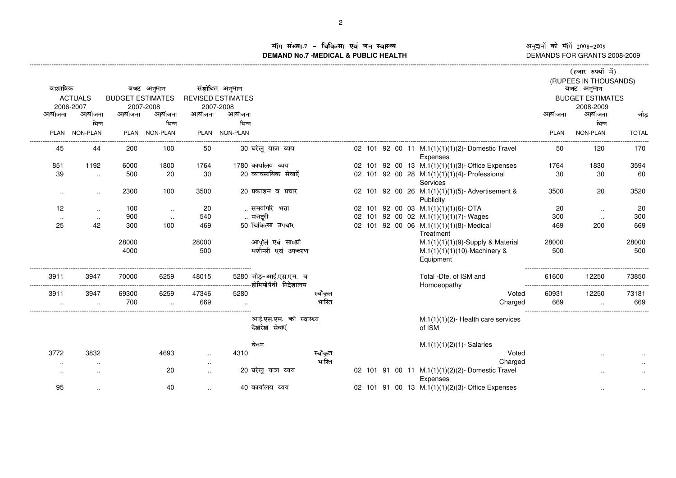Iग संख्या.7 – चिकित्सा एवं जन स्वास्थ्य<br>IAND No.7 MEDICAL & DURLIC HEALTH **DEMAND No.7 -MEDICAL & PUBLIC HEALTH**

----------------------------------------------------------------------------------------------------------------------------------------------------------------------------------------------------------------------------------------------------------------------------------------------

óôñôõö÷øùôúûõö <sup>ü</sup>ýýþÿ <sup>ü</sup>ýý DEMANDS FOR GRANTS 2008-2009

|               |                     |                         |                     |                        |                          |                                                  |         |  |  |                                                             |             | (हजार रुपयों में)       |              |
|---------------|---------------------|-------------------------|---------------------|------------------------|--------------------------|--------------------------------------------------|---------|--|--|-------------------------------------------------------------|-------------|-------------------------|--------------|
|               |                     |                         |                     |                        |                          |                                                  |         |  |  |                                                             |             | (RUPEES IN THOUSANDS)   |              |
| वास्तविक      |                     |                         | बजट अनुमान          |                        | संशोधित अनुमान           |                                                  |         |  |  |                                                             |             | बजट अनुमान              |              |
|               | <b>ACTUALS</b>      | <b>BUDGET ESTIMATES</b> |                     |                        | <b>REVISED ESTIMATES</b> |                                                  |         |  |  |                                                             |             | <b>BUDGET ESTIMATES</b> |              |
| आयोजना        | 2006-2007<br>आयोजना | आयोजना                  | 2007-2008<br>आयोजना | आयोजना                 | 2007-2008<br>आयोजना      |                                                  |         |  |  |                                                             | आयोजना      | 2008-2009<br>आयोजना     | जोड          |
|               | भिन्न               |                         | भिन्न               |                        | भिन्न                    |                                                  |         |  |  |                                                             |             | भिन्न                   |              |
|               | <b>NON-PLAN</b>     | <b>PLAN</b>             | <b>NON-PLAN</b>     | PLAN                   | <b>NON-PLAN</b>          |                                                  |         |  |  |                                                             | <b>PLAN</b> | NON-PLAN                | <b>TOTAL</b> |
| PLAN          |                     |                         |                     |                        |                          |                                                  |         |  |  |                                                             |             |                         |              |
| 45            | 44                  | 200                     | 100                 | 50                     |                          | 30 घरेलू यात्रा व्यय                             |         |  |  | 02 101 92 00 11 M.1(1)(1)(1)(2)-Domestic Travel             | 50          | 120                     | 170          |
|               |                     |                         |                     |                        |                          |                                                  |         |  |  | Expenses                                                    |             |                         |              |
| 851           | 1192                | 6000                    | 1800                | 1764                   |                          | 1780 कार्यालय व्यय                               |         |  |  | 02 101 92 00 13 M.1(1)(1)(1)(3)- Office Expenses            | 1764        | 1830                    | 3594         |
| 39            | $\sim$              | 500                     | 20                  | 30                     |                          | 20 व्यावसायिक सेवाऐँ                             |         |  |  | 02 101 92 00 28 M.1(1)(1)(1)(4)- Professional               | 30          | 30                      | 60           |
|               |                     | 2300                    | 100                 | 3500                   |                          | 20 प्रकाशन व प्रचार                              |         |  |  | Services<br>02 101 92 00 26 M.1(1)(1)(1)(5)-Advertisement & | 3500        | 20                      | 3520         |
| $\cdot$ .     | $\sim$              |                         |                     |                        |                          |                                                  |         |  |  | Publicity                                                   |             |                         |              |
| 12            | $\ddotsc$           | 100                     | $\sim$              | 20                     |                          | समयोपरि भत्ता                                    |         |  |  | 02 101 92 00 03 M.1(1)(1)(1)(6)-OTA                         | 20          | $\ddotsc$               | 20           |
| $\sim$ $\sim$ | $\ldots$            | 900                     | $\sim$              | 540                    |                          | मजदूरी                                           |         |  |  | 02 101 92 00 02 M.1(1)(1)(1)(7)-Wages                       | 300         | $\ddotsc$               | 300          |
| 25            | 42                  | 300                     | 100                 | 469                    |                          | 50 चिकित्सा उपचार                                |         |  |  | 02 101 92 00 06 M.1(1)(1)(1)(8)- Medical                    | 469         | 200                     | 669          |
|               |                     |                         |                     |                        |                          |                                                  |         |  |  | Treatment                                                   |             |                         |              |
|               |                     | 28000                   |                     | 28000                  |                          | आपूर्ति एवं सामग्री                              |         |  |  | $M.1(1)(1)(1)(9)$ -Supply & Material                        | 28000       |                         | 28000        |
|               |                     | 4000                    |                     | 500                    |                          | मशीनरी एवं उपकरण                                 |         |  |  | $M.1(1)(1)(1)(10)$ -Machinery &                             | 500         |                         | 500          |
|               |                     |                         |                     |                        |                          |                                                  |         |  |  | Equipment                                                   |             |                         |              |
| 3911          | 3947                | 70000                   | 6259                | 48015                  |                          | 5280 जोड़-आई.एस.एम. व                            |         |  |  | Total -Dte, of ISM and                                      | 61600       | 12250                   | 73850        |
|               |                     |                         |                     |                        |                          | -----------------------------होमियोपैथी निदेशालय |         |  |  | Homoeopathy                                                 |             |                         |              |
| 3911          | 3947                | 69300                   | 6259                | 47346                  | 5280                     |                                                  | स्वीकृत |  |  | Voted                                                       | 60931       | 12250                   | 73181        |
|               |                     | 700                     |                     | 669                    |                          |                                                  | भारित   |  |  | Charged                                                     | 669         |                         | 669          |
|               |                     |                         |                     |                        |                          |                                                  |         |  |  |                                                             |             |                         |              |
|               |                     |                         |                     |                        |                          | आई.एस.एम. की स्वास्थ्य                           |         |  |  | $M.1(1)(1)(2)$ - Health care services                       |             |                         |              |
|               |                     |                         |                     |                        |                          | देखरेख सेवाएं                                    |         |  |  | of ISM                                                      |             |                         |              |
|               |                     |                         |                     |                        |                          | वेतन                                             |         |  |  | $M.1(1)(1)(2)(1)$ - Salaries                                |             |                         |              |
| 3772          | 3832                |                         | 4693                |                        | 4310                     |                                                  | स्वीकृत |  |  | Voted                                                       |             |                         |              |
|               |                     |                         |                     | $\ddotsc$<br>$\cdot$ . |                          |                                                  | भारित   |  |  | Charged                                                     |             |                         |              |
| $\cdot$ .     |                     |                         | 20                  | $\sim$                 |                          | 20 घरेलू यात्रा व्यय                             |         |  |  | 02 101 91 00 11 M.1(1)(1)(2)(2)-Domestic Travel             |             |                         |              |
|               |                     |                         |                     |                        |                          |                                                  |         |  |  | Expenses                                                    |             |                         |              |
| 95            | $\sim$              |                         | 40                  |                        |                          | 40 कार्यालय व्यय                                 |         |  |  | 02 101 91 00 13 M.1(1)(1)(2)(3)- Office Expenses            |             | $\ldots$                |              |
|               |                     |                         |                     |                        |                          |                                                  |         |  |  |                                                             |             |                         |              |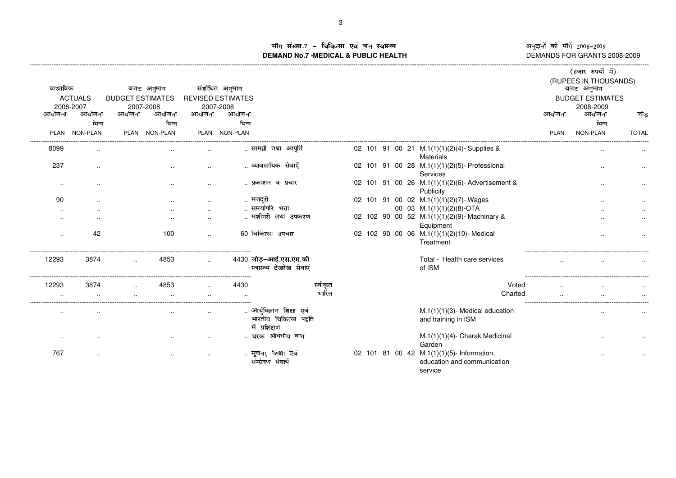ॉग संख्या.7 – चिकित्सा एवं जन स्वास्थ्य<br>IAND No.7 -MEDICAL & DURLIC HEALTH **DEMAND No.7 -MEDICAL & PUBLIC HEALTH**

----------------------------------------------------------------------------------------------------------------------------------------------------------------------------------------------------------------------------------------------------------------------------------------------

»®¯°±²³´®¯ <sup>µ</sup>¶¶·¸ <sup>µ</sup>¶¶¹ DEMANDS FOR GRANTS 2008-2009

|           |                 |                         |               |        |                          |                                                                    |         |  |  |                                                                                      |             | (हजार रुपयों में)                   |              |
|-----------|-----------------|-------------------------|---------------|--------|--------------------------|--------------------------------------------------------------------|---------|--|--|--------------------------------------------------------------------------------------|-------------|-------------------------------------|--------------|
| वास्तविक  |                 |                         | बजट अनुमान    |        | संशोधित अनुमान           |                                                                    |         |  |  |                                                                                      |             | (RUPEES IN THOUSANDS)<br>बजट अनुमान |              |
|           | <b>ACTUALS</b>  | <b>BUDGET ESTIMATES</b> |               |        | <b>REVISED ESTIMATES</b> |                                                                    |         |  |  |                                                                                      |             | <b>BUDGET ESTIMATES</b>             |              |
|           | 2006-2007       |                         | 2007-2008     |        | 2007-2008                |                                                                    |         |  |  |                                                                                      |             | 2008-2009                           |              |
| आयोजना    | आयोजना          | आयोजना                  | आयोजना        | आयोजना | आयोजना                   |                                                                    |         |  |  |                                                                                      | आयोजना      | आयोजना                              | जोड          |
|           | भिन्न           |                         | भिन्न         |        | भिन्न                    |                                                                    |         |  |  |                                                                                      |             | भिन्न                               |              |
| PLAN      | <b>NON-PLAN</b> |                         | PLAN NON-PLAN |        | PLAN NON-PLAN            |                                                                    |         |  |  |                                                                                      | <b>PLAN</b> | <b>NON-PLAN</b>                     | <b>TOTAL</b> |
| 8099      |                 |                         |               |        |                          | सामग्री तथा आपति                                                   |         |  |  | 02 101 91 00 21 M.1(1)(1)(2)(4)-Supplies &<br><b>Materials</b>                       |             |                                     |              |
| 237       | $\cdot$         |                         |               |        |                          | व्यावसायिक सेवाऐं                                                  |         |  |  | 02 101 91 00 28 M.1(1)(1)(2)(5)- Professional<br>Services                            |             |                                     |              |
| $\ddotsc$ |                 |                         |               |        |                          | प्रकाशन व प्रचार                                                   |         |  |  | 02 101 91 00 26 M.1(1)(1)(2)(6)- Advertisement &<br>Publicity                        |             |                                     |              |
| 90        |                 |                         |               |        |                          | मजदूरी                                                             |         |  |  | 02 101 91 00 02 M.1(1)(1)(2)(7)-Wages                                                |             |                                     |              |
|           |                 |                         |               |        |                          | समयोपरि भत्ता                                                      |         |  |  | 00 03 M.1(1)(1)(2)(8)-OTA                                                            |             |                                     |              |
|           |                 |                         |               |        |                          | मशीनरी तथा उपकरण                                                   |         |  |  | 02 102 90 00 52 M.1(1)(1)(2)(9)-Machinary &<br>Equipment                             |             |                                     |              |
|           | 42              |                         | 100           | $\sim$ |                          | 60 चिकित्सा उपचार                                                  |         |  |  | 02 102 90 00 06 M.1(1)(1)(2)(10)- Medical<br>Treatment                               |             |                                     |              |
| 12293     | 3874            |                         | 4853          |        |                          | 4430 जोड़-आई.एस.एम.की<br>स्वास्थ्य देखरेख सेवाएं                   |         |  |  | Total - Health care services<br>of ISM                                               |             |                                     |              |
| 12293     | 3874            |                         | 4853          |        | 4430                     |                                                                    | स्वीकृत |  |  | Voted                                                                                |             |                                     |              |
|           |                 |                         |               |        |                          |                                                                    | भारित   |  |  | Charted                                                                              |             |                                     |              |
|           |                 |                         |               |        |                          | आर्युविज्ञान शिक्षा एवं<br>भारतीय चिकित्सा पद्वति<br>में प्रशिक्षण |         |  |  | $M.1(1)(1)(3)$ - Medical education<br>and training in ISM                            |             |                                     |              |
|           |                 |                         |               |        |                          | चरक औषधीय बाग                                                      |         |  |  | M.1(1)(1)(4)- Charak Medicinal<br>Garden                                             |             |                                     |              |
| 767       |                 |                         |               |        |                          | सूचना, शिक्षा एवं<br>संम्प्रेषण सेवायें                            |         |  |  | 02 101 81 00 42 M.1(1)(1)(5)- Information,<br>education and communication<br>service |             |                                     |              |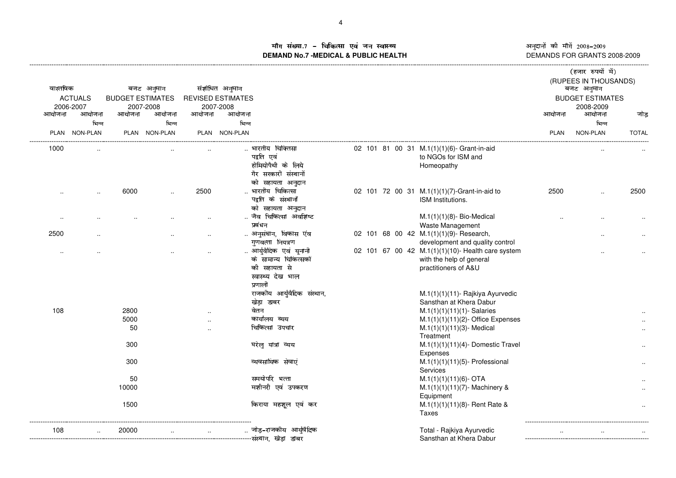ौग संख्या.7 – चिकित्सा एवं जन स्वास्थ्य<br>IAND No.7 MEDICAL & DURLIC HEALTH **DEMAND No.7 -MEDICAL & PUBLIC HEALTH**

----------------------------------------------------------------------------------------------------------------------------------------------------------------------------------------------------------------------------------------------------------------------------------------------

अनुदानों की माँगें 2008–2009 अनुदानों की माँगें 2008–2009<br>DEMANDS FOR GRANTS 2008-2009

| वास्तविक  | <b>ACTUALS</b><br>2006-2007 | <b>BUDGET ESTIMATES</b> | बजट अनुमान<br>2007-2008 |                      | संशोधित अनुमान<br><b>REVISED ESTIMATES</b><br>2007-2008 |                                                                                                |  |                                                                                                       |             | (हजार रुपयों में)<br>(RUPEES IN THOUSANDS)<br>बजट अनुमान<br><b>BUDGET ESTIMATES</b><br>2008-2009 |              |
|-----------|-----------------------------|-------------------------|-------------------------|----------------------|---------------------------------------------------------|------------------------------------------------------------------------------------------------|--|-------------------------------------------------------------------------------------------------------|-------------|--------------------------------------------------------------------------------------------------|--------------|
| आयोजना    | आयोजना                      | आयोजना                  | आयोजना                  | आयोजना               | आयोजना                                                  |                                                                                                |  |                                                                                                       | आयोजना      | आयोजना                                                                                           | जोड          |
|           | भिन्न<br>PLAN NON-PLAN      |                         | भिन्न<br>PLAN NON-PLAN  |                      | भिन्न<br>PLAN NON-PLAN                                  |                                                                                                |  |                                                                                                       | <b>PLAN</b> | भिन्न<br>NON-PLAN                                                                                | <b>TOTAL</b> |
| 1000      |                             |                         |                         |                      |                                                         | भारतीय चिक्तिसा<br>पद्वति एवं<br>होमियोपैथी के लिये<br>गैर सरकारी संस्थानों                    |  | 02 101 81 00 31 M.1(1)(1)(6) Grant-in-aid<br>to NGOs for ISM and<br>Homeopathy                        |             |                                                                                                  |              |
|           |                             |                         |                         |                      |                                                         | को सहायता अनुदान                                                                               |  |                                                                                                       |             |                                                                                                  |              |
| $\ddotsc$ | $\ddotsc$                   | 6000                    | $\ddot{\phantom{a}}$    | 2500                 |                                                         | भारतीय चिकित्सा<br>पद्वति के संस्थानों                                                         |  | 02 101 72 00 31 M.1(1)(1)(7)-Grant-in-aid to<br>ISM Institutions.                                     | 2500        | $\cdot$ .                                                                                        | 2500         |
| $\cdots$  |                             |                         |                         |                      |                                                         | को सहायता अनुदान<br>जैव चिकित्सा अवशिष्ट<br>प्रबंधन                                            |  | $M.1(1)(1)(8)$ - Bio-Medical<br>Waste Management                                                      |             |                                                                                                  |              |
| 2500      |                             |                         |                         |                      |                                                         | अनुसंधान, विकास एंव<br>गणवत्ता नियत्रण                                                         |  | 02 101 68 00 42 M.1(1)(1)(9)- Research,<br>development and quality control                            |             |                                                                                                  |              |
| $\ddotsc$ |                             |                         |                         |                      |                                                         | आर्युवैदिक एवं यूनानी<br>के सामान्य चिकित्सकों<br>की सहायता से<br>स्वास्थ्य देख भाल<br>प्रणाली |  | 02 101 67 00 42 M.1(1)(1)(10)- Health care system<br>with the help of general<br>practitioners of A&U |             |                                                                                                  |              |
|           |                             |                         |                         |                      |                                                         | राजकीय आर्युवैदिक संस्थान,<br>खेड़ा डाबर                                                       |  | M.1(1)(1)(11)- Rajkiya Ayurvedic<br>Sansthan at Khera Dabur                                           |             |                                                                                                  |              |
| 108       |                             | 2800                    |                         |                      |                                                         | वेतन                                                                                           |  | $M.1(1)(1)(11)(1)$ - Salaries                                                                         |             |                                                                                                  |              |
|           |                             | 5000                    |                         | $\ddot{\phantom{a}}$ |                                                         | कार्यालय ब्यय                                                                                  |  | $M.1(1)(1)(11)(2)$ - Office Expenses                                                                  |             |                                                                                                  |              |
|           |                             | 50                      |                         |                      |                                                         | चिकित्सा उपचार                                                                                 |  | $M.1(1)(1)(11)(3)$ - Medical<br>Treatment                                                             |             |                                                                                                  |              |
|           |                             | 300                     |                         |                      |                                                         | घरेलु यात्रा व्यय                                                                              |  | $M.1(1)(1)(11)(4)$ - Domestic Travel<br>Expenses                                                      |             |                                                                                                  |              |
|           |                             | 300                     |                         |                      |                                                         | व्यवसायिक सेवाएं                                                                               |  | $M.1(1)(1)(11)(5)$ - Professional<br>Services                                                         |             |                                                                                                  |              |
|           |                             | 50                      |                         |                      |                                                         | समयोपरि भत्ता                                                                                  |  | $M.1(1)(1)(11)(6)$ - OTA                                                                              |             |                                                                                                  |              |
|           |                             | 10000                   |                         |                      |                                                         | मशीनरी एवं उपकरण                                                                               |  | M.1(1)(1)(11)(7)- Machinery &<br>Equipment                                                            |             |                                                                                                  |              |
|           |                             | 1500                    |                         |                      |                                                         | किराया महशूल एवं कर                                                                            |  | $M.1(1)(1)(11)(8)$ - Rent Rate &<br>Taxes                                                             |             |                                                                                                  |              |
| 108       |                             | 20000                   |                         |                      |                                                         | जोड़–राजकीय आर्युवैदिक                                                                         |  | Total - Rajkiya Ayurvedic<br>Sansthan at Khera Dabur                                                  |             |                                                                                                  |              |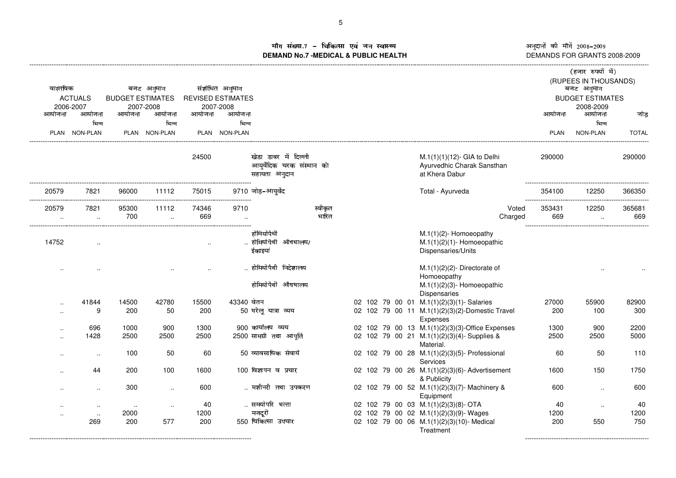अनुदानों की माँगें 2008–2009 अनुदानों की माँगें 2008–2009<br>DEMANDS FOR GRANTS 2008-2009 کا DEMANDS FOR GRANTS 2008-2009

## ौग संख्या.7 – चिकित्सा एवं जन स्वास्थ्य<br>IAND No.7 MEDICAL & DURLIC HEALTH **DEMAND No.7 -MEDICAL & PUBLIC HEALTH**

|           |                     |                         |                      |        |                          |                                                                    |         |  |  |                                                                               |             | (हजार रुपयों में)       |              |
|-----------|---------------------|-------------------------|----------------------|--------|--------------------------|--------------------------------------------------------------------|---------|--|--|-------------------------------------------------------------------------------|-------------|-------------------------|--------------|
|           |                     |                         |                      |        |                          |                                                                    |         |  |  |                                                                               |             | (RUPEES IN THOUSANDS)   |              |
| वास्तविक  |                     |                         | बजट अनुमान           |        | संशोधित अनुमान           |                                                                    |         |  |  |                                                                               |             | बजट अनुमान              |              |
|           | <b>ACTUALS</b>      | <b>BUDGET ESTIMATES</b> |                      |        | <b>REVISED ESTIMATES</b> |                                                                    |         |  |  |                                                                               |             | <b>BUDGET ESTIMATES</b> |              |
| आयोजना    | 2006-2007<br>आयोजना | आयोजना                  | 2007-2008<br>आयोजना  | आयोजना | 2007-2008<br>आयोजना      |                                                                    |         |  |  |                                                                               | आयोजना      | 2008-2009<br>आयोजना     | जोड़         |
|           | भिन्न               |                         | भिन्न                |        | भिन्न                    |                                                                    |         |  |  |                                                                               |             | भिन्न                   |              |
|           | PLAN NON-PLAN       |                         | PLAN NON-PLAN        |        | PLAN NON-PLAN            |                                                                    |         |  |  |                                                                               | <b>PLAN</b> | NON-PLAN                | <b>TOTAL</b> |
|           |                     |                         |                      |        |                          |                                                                    |         |  |  |                                                                               |             |                         |              |
|           |                     |                         |                      | 24500  |                          | खेडा डाबर में दिल्ली<br>आयूर्वेदिक चरक संस्थान को<br>सहायता अनुदान |         |  |  | M.1(1)(1)(12)- GIA to Delhi<br>Ayurvedhic Charak Sansthan<br>at Khera Dabur   | 290000      |                         | 290000       |
| 20579     | 7821                | 96000                   | 11112                | 75015  |                          | 9710 जोड़–आयुर्वेद                                                 |         |  |  | Total - Ayurveda                                                              | 354100      | 12250                   | 366350       |
| 20579     | 7821                | 95300                   | 11112                | 74346  | 9710                     |                                                                    | स्वीकृत |  |  | Voted                                                                         | 353431      | 12250                   | 365681       |
| $\ddotsc$ | $\sim$              | 700                     | $\cdot$ .            | 669    |                          |                                                                    | भारित   |  |  | Charged                                                                       | 669         | $\sim$                  | 669          |
| 14752     | $\cdot$ .           |                         |                      |        |                          | होमियोपैथी<br>होमियोपैथी औषधालय/<br>ईकाइयां                        |         |  |  | M.1(1)(2)- Homoeopathy<br>$M.1(1)(2)(1)$ - Homoeopathic<br>Dispensaries/Units |             |                         |              |
|           |                     |                         |                      |        |                          | होमियोपैथी निदेशालय                                                |         |  |  | $M.1(1)(2)(2)$ - Directorate of<br>Homoeopathy                                |             |                         |              |
|           |                     |                         |                      |        |                          | होमियोपैथी औषधालय                                                  |         |  |  | $M.1(1)(2)(3)$ - Homoeopathic<br>Dispensaries                                 |             |                         |              |
|           | 41844               | 14500                   | 42780                | 15500  | 43340 वेतन               |                                                                    |         |  |  | 02 102 79 00 01 M.1(1)(2)(3)(1)-Salaries                                      | 27000       | 55900                   | 82900        |
|           | 9                   | 200                     | 50                   | 200    |                          | 50 घरेलू यात्रा व्यय                                               |         |  |  | 02 102 79 00 11 M.1(1)(2)(3)(2)-Domestic Travel<br>Expenses                   | 200         | 100                     | 300          |
|           | 696                 | 1000                    | 900                  | 1300   |                          | 900 कार्यालय व्यय                                                  |         |  |  | 02 102 79 00 13 M.1(1)(2)(3)(3)-Office Expenses                               | 1300        | 900                     | 2200         |
|           | 1428                | 2500                    | 2500                 | 2500   |                          | 2500 सामग्री तथा आपूर्ति                                           |         |  |  | 02 102 79 00 21 M.1(1)(2)(3)(4)-Supplies &<br>Material.                       | 2500        | 2500                    | 5000         |
|           | $\ddotsc$           | 100                     | 50                   | 60     |                          | 50 व्यावसायिक सेवायें                                              |         |  |  | 02 102 79 00 28 M.1(1)(2)(3)(5)- Professional<br>Services                     | 60          | 50                      | 110          |
|           | 44                  | 200                     | 100                  | 1600   |                          | 100 विज्ञापन व प्रचार                                              |         |  |  | 02 102 79 00 26 M.1(1)(2)(3)(6)- Advertisement                                | 1600        | 150                     | 1750         |
|           | $\ldots$            | 300                     | $\ddot{\phantom{a}}$ | 600    |                          | मशीनरी तथा उपकरण                                                   |         |  |  | & Publicity<br>02 102 79 00 52 M.1(1)(2)(3)(7)-Machinery &<br>Equipment       | 600         | $\ddot{\phantom{a}}$    | 600          |
|           | $\cdot$ .           | $\cdots$                | $\cdot$ .            | 40     |                          | समयोपरि भत्ता                                                      |         |  |  | 02 102 79 00 03 M.1(1)(2)(3)(8)- OTA                                          | 40          | $\ldots$                | 40           |
|           | $\cdot$ .           | 2000                    |                      | 1200   |                          | मजदूरी                                                             |         |  |  | 02 102 79 00 02 M.1(1)(2)(3)(9)-Wages                                         | 1200        |                         | 1200         |
|           | 269                 | 200                     | 577                  | 200    |                          | 550 चिकित्सा उपचार                                                 |         |  |  | 02 102 79 00 06 M.1(1)(2)(3)(10)-Medical<br>Treatment                         | 200         | 550                     | 750          |
|           |                     |                         |                      |        |                          |                                                                    |         |  |  |                                                                               |             |                         |              |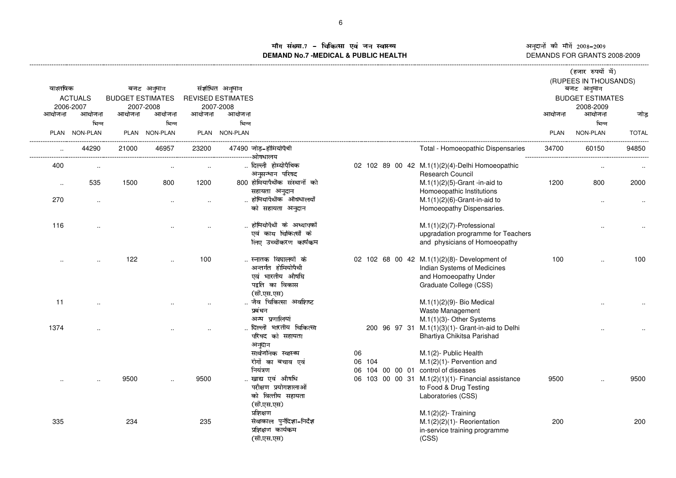iग संख्या.7 – चिकित्सा एवं जन स्वास्थ्य<br>IAND No.7 MEDICAL & DURLIC HEALTH **DEMAND No.7 -MEDICAL & PUBLIC HEALTH**

अनुदानों की माँगें 2008–2009<br>DEMANDS FOR GRANTS 2008-2009

|           |                |                         |                      |        |                          |                                                                                                             |                    |                                                                                                                                                                             |             | (हजार रुपयों में)                   |              |
|-----------|----------------|-------------------------|----------------------|--------|--------------------------|-------------------------------------------------------------------------------------------------------------|--------------------|-----------------------------------------------------------------------------------------------------------------------------------------------------------------------------|-------------|-------------------------------------|--------------|
| वास्तविक  |                |                         | बजट अनुमान           |        | संशोधित अनुमान           |                                                                                                             |                    |                                                                                                                                                                             |             | (RUPEES IN THOUSANDS)<br>बजट अनुमान |              |
|           | <b>ACTUALS</b> | <b>BUDGET ESTIMATES</b> |                      |        | <b>REVISED ESTIMATES</b> |                                                                                                             |                    |                                                                                                                                                                             |             | <b>BUDGET ESTIMATES</b>             |              |
|           | 2006-2007      |                         | 2007-2008            |        | 2007-2008                |                                                                                                             |                    |                                                                                                                                                                             |             | 2008-2009                           |              |
| आयोजना    | आयोजना         | आयोजना                  | आयोजना               | आयोजना | आयोजना                   |                                                                                                             |                    |                                                                                                                                                                             | आयोजना      | आयोजना                              | जोड          |
|           | भिन्न          |                         | भिन्न                |        | भिन्न                    |                                                                                                             |                    |                                                                                                                                                                             |             | भिन्न                               |              |
|           | PLAN NON-PLAN  |                         | PLAN NON-PLAN        |        | PLAN NON-PLAN            |                                                                                                             |                    |                                                                                                                                                                             | <b>PLAN</b> | NON-PLAN                            | <b>TOTAL</b> |
|           | 44290          | 21000                   | 46957                | 23200  |                          | 47490 जोड़-होमियोपैथी                                                                                       |                    | Total - Homoeopathic Dispensaries                                                                                                                                           | 34700       | 60150                               | 94850        |
| 400       | $\sim$         |                         | $\ldots$             | $\sim$ |                          | दिल्ली होम्योपैथिक<br>अनुसन्धान परिषद                                                                       |                    | 02 102 89 00 42 M.1(1)(2)(4)-Delhi Homoeopathic<br><b>Research Council</b>                                                                                                  |             |                                     |              |
| $\ddotsc$ | 535            | 1500                    | 800                  | 1200   |                          | 800 होमियापैथीक संस्थानों को<br>सहायता अनुदान                                                               |                    | $M.1(1)(2)(5)$ -Grant -in-aid to<br>Homoeopathic Institutions                                                                                                               | 1200        | 800                                 | 2000         |
| 270       | $\cdot$        |                         | $\ddot{\phantom{a}}$ |        |                          | होमियापैथीक औषधालयों<br>को सहायता अनुदान                                                                    |                    | $M.1(1)(2)(6)$ -Grant-in-aid to<br>Homoeopathy Dispensaries.                                                                                                                |             |                                     |              |
| 116       |                |                         |                      |        |                          | होमियोपैथी के अध्यापकों<br>एवं काय चिकित्सों के<br>लिए उच्चीकरण कार्यकम                                     |                    | $M.1(1)(2)(7)$ -Professional<br>upgradation programme for Teachers<br>and physicians of Homoeopathy                                                                         |             |                                     |              |
|           |                | 122                     |                      | 100    |                          | स्नातक विघालयों के<br>अन्तर्गत होमियोपैथी<br>एवं भारतीय औषधि<br>पद्वति का विकास<br>(सी.एस.एस)               |                    | 02 102 68 00 42 M.1(1)(2)(8)- Development of<br>Indian Systems of Medicines<br>and Homoeopathy Under<br>Graduate College (CSS)                                              | 100         |                                     | 100          |
| 11        |                |                         |                      |        |                          | जैव चिकित्सा अवशिष्ट<br>प्रबंधन<br>अन्य प्रणालियां                                                          |                    | M.1(1)(2)(9)- Bio Medical<br>Waste Management<br>M.1(1)(3)- Other Systems                                                                                                   |             |                                     |              |
| 1374      |                |                         |                      |        |                          | दिल्ली भारतीय चिकित्सा<br>परिषद को सहायता<br>अनुदान<br>सार्वजनिक स्वास्थ्य<br>रोगों का बचाव एवं<br>नियंत्रण | 06<br>06 104<br>06 | 200 96 97 31 M.1(1)(3)(1)- Grant-in-aid to Delhi<br>Bhartiya Chikitsa Parishad<br>M.1(2)- Public Health<br>$M.1(2)(1)$ - Pervention and<br>104 00 00 01 control of diseases |             |                                     |              |
|           |                | 9500                    |                      | 9500   |                          | खाद्य एवं औषधि<br>परीक्षण प्रयोगशालाओं<br>को वित्तीय सहायता<br>(सी.एस.एस)                                   |                    | 06 103 00 00 31 M.1(2)(1)(1)- Financial assistance<br>to Food & Drug Testing<br>Laboratories (CSS)                                                                          | 9500        |                                     | 9500         |
| 335       |                | 234                     |                      | 235    |                          | प्रशिक्षण<br>सेवाकाल पुर्नदिशा-निर्देश<br>प्रशिक्षण कार्यकम<br>(सी.एस.एस)                                   |                    | $M.1(2)(2)$ - Training<br>$M.1(2)(2)(1)$ - Reorientation<br>in-service training programme<br>(CSS)                                                                          | 200         |                                     | 200          |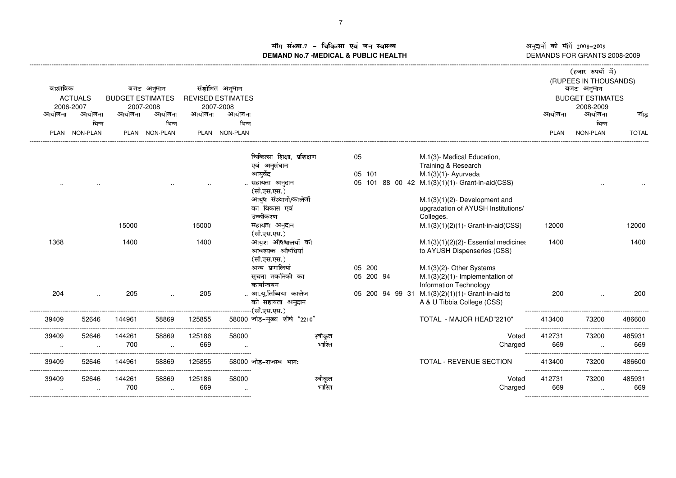ौग संख्या.7 – चिकित्सा एवं जन स्वास्थ्य<br>IAND No.7 MEDICAL & DURLIC HEALTH **DEMAND No.7 -MEDICAL & PUBLIC HEALTH**

अनुदानों की माँगें 2008–2009<br>DEMANDS FOR GRANTS 2008-2009 DEMANDS FOR GRANTS 2008-2009

---------------------------------------------------------

|             |                 |                         |               |        |                          |                               |         |        |                 |                                                   |                                         |             | (हजार रुपयों में)                   |              |
|-------------|-----------------|-------------------------|---------------|--------|--------------------------|-------------------------------|---------|--------|-----------------|---------------------------------------------------|-----------------------------------------|-------------|-------------------------------------|--------------|
| वास्तविक    |                 |                         | बजट अनुमान    |        | संशोधित अनुमान           |                               |         |        |                 |                                                   |                                         |             | (RUPEES IN THOUSANDS)<br>बजट अनुमान |              |
|             | <b>ACTUALS</b>  | <b>BUDGET ESTIMATES</b> |               |        | <b>REVISED ESTIMATES</b> |                               |         |        |                 |                                                   |                                         |             | <b>BUDGET ESTIMATES</b>             |              |
|             | 2006-2007       |                         | 2007-2008     |        | 2007-2008                |                               |         |        |                 |                                                   |                                         |             | 2008-2009                           |              |
| आयोजना      | आयोजना          | आयोजना                  | आयोजना        | आयोजना | आयोजना                   |                               |         |        |                 |                                                   |                                         | आयोजना      | आयोजना                              | जोड          |
|             | भिन्न           |                         | भिन्न         |        | भिन्न                    |                               |         |        |                 |                                                   |                                         |             | भिन्न                               |              |
| <b>PLAN</b> | <b>NON-PLAN</b> |                         | PLAN NON-PLAN |        | PLAN NON-PLAN            |                               |         |        |                 |                                                   |                                         | <b>PLAN</b> | <b>NON-PLAN</b>                     | <b>TOTAL</b> |
|             |                 |                         |               |        |                          | चिकित्सा शिक्षा, प्रशिक्षण    |         | 05     |                 |                                                   |                                         |             |                                     |              |
|             |                 |                         |               |        |                          | एवं अनुसंधान                  |         |        |                 | M.1(3)- Medical Education,<br>Training & Research |                                         |             |                                     |              |
|             |                 |                         |               |        |                          | आयुर्वेद                      |         | 05 101 |                 | $M.1(3)(1)$ - Ayurveda                            |                                         |             |                                     |              |
|             |                 |                         |               |        |                          | सहायता अनुदान                 |         |        |                 | 05 101 88 00 42 M.1(3)(1)(1)- Grant-in-aid(CSS)   |                                         |             |                                     |              |
|             |                 |                         |               |        |                          | (सी.एस.एस.)                   |         |        |                 |                                                   |                                         |             |                                     |              |
|             |                 |                         |               |        |                          | आयुष संस्थानों/कालेजों        |         |        |                 | $M.1(3)(1)(2)$ - Development and                  |                                         |             |                                     |              |
|             |                 |                         |               |        |                          | का विकास एवं                  |         |        |                 | upgradation of AYUSH Institutions/                |                                         |             |                                     |              |
|             |                 |                         |               |        |                          | उच्चीकरण                      |         |        |                 | Colleges.                                         |                                         |             |                                     |              |
|             |                 | 15000                   |               | 15000  |                          | सहायता अनुदान                 |         |        |                 | $M.1(3)(1)(2)(1)$ - Grant-in-aid(CSS)             |                                         | 12000       |                                     | 12000        |
|             |                 |                         |               |        |                          | (सी.एस.एस.)                   |         |        |                 |                                                   |                                         |             |                                     |              |
| 1368        |                 | 1400                    |               | 1400   |                          | आयुश औषधालयों को              |         |        |                 |                                                   | $M.1(3)(1)(2)(2)$ - Essential medicines | 1400        |                                     | 1400         |
|             |                 |                         |               |        |                          | आवश्यक औषधियां                |         |        |                 | to AYUSH Dispenseries (CSS)                       |                                         |             |                                     |              |
|             |                 |                         |               |        |                          | (सी.एस.एस.)                   |         |        |                 |                                                   |                                         |             |                                     |              |
|             |                 |                         |               |        |                          | अन्य प्रणालियां               |         | 05 200 |                 | M.1(3)(2)- Other Systems                          |                                         |             |                                     |              |
|             |                 |                         |               |        |                          | सूचना तकनिकी का               |         |        | 05 200 94       | $M.1(3)(2)(1)$ - Implementation of                |                                         |             |                                     |              |
|             |                 |                         |               |        |                          | कार्यान्वयन                   |         |        |                 | Information Technology                            |                                         |             |                                     |              |
| 204         |                 | 205                     |               | 205    |                          | आ.यू.तिब्बिया कालेज           |         |        | 05 200 94 99 31 | $M.1(3)(2)(1)(1)$ - Grant-in-aid to               |                                         | 200         |                                     | 200          |
|             |                 |                         |               |        |                          | को सहायता अनुदान              |         |        |                 | A & U Tibbia College (CSS)                        |                                         |             |                                     |              |
|             |                 |                         |               |        |                          | (सी.एस.एस.)                   |         |        |                 |                                                   |                                         |             |                                     |              |
| 39409       | 52646           | 144961                  | 58869         | 125855 |                          | 58000 जोड़-मुख्य शीर्ष "2210" |         |        |                 | TOTAL - MAJOR HEAD"2210"                          |                                         | 413400      | 73200                               | 486600       |
| 39409       | 52646           | 144261                  | 58869         | 125186 | 58000                    |                               | स्वीकृत |        |                 |                                                   | Voted                                   | 412731      | 73200                               | 485931       |
|             |                 | 700                     |               | 669    |                          |                               | भारित   |        |                 |                                                   | Charged                                 | 669         | -----------------------------       | 669          |
| 39409       | 52646           | 144961                  | 58869         | 125855 |                          | 58000 जोड-राजस्व भागः         |         |        |                 | TOTAL - REVENUE SECTION                           |                                         | 413400      | 73200                               | 486600       |
| 39409       | 52646           | 144261                  | 58869         | 125186 | 58000                    |                               | स्वीकृत |        |                 |                                                   | Voted                                   | 412731      | 73200                               | 485931       |
|             | $\cdot$ .       | 700                     | $\ldots$      | 669    |                          |                               | भारित   |        |                 |                                                   | Charged                                 | 669         |                                     | 669          |

------------------------------------------------------------------------------------------------------